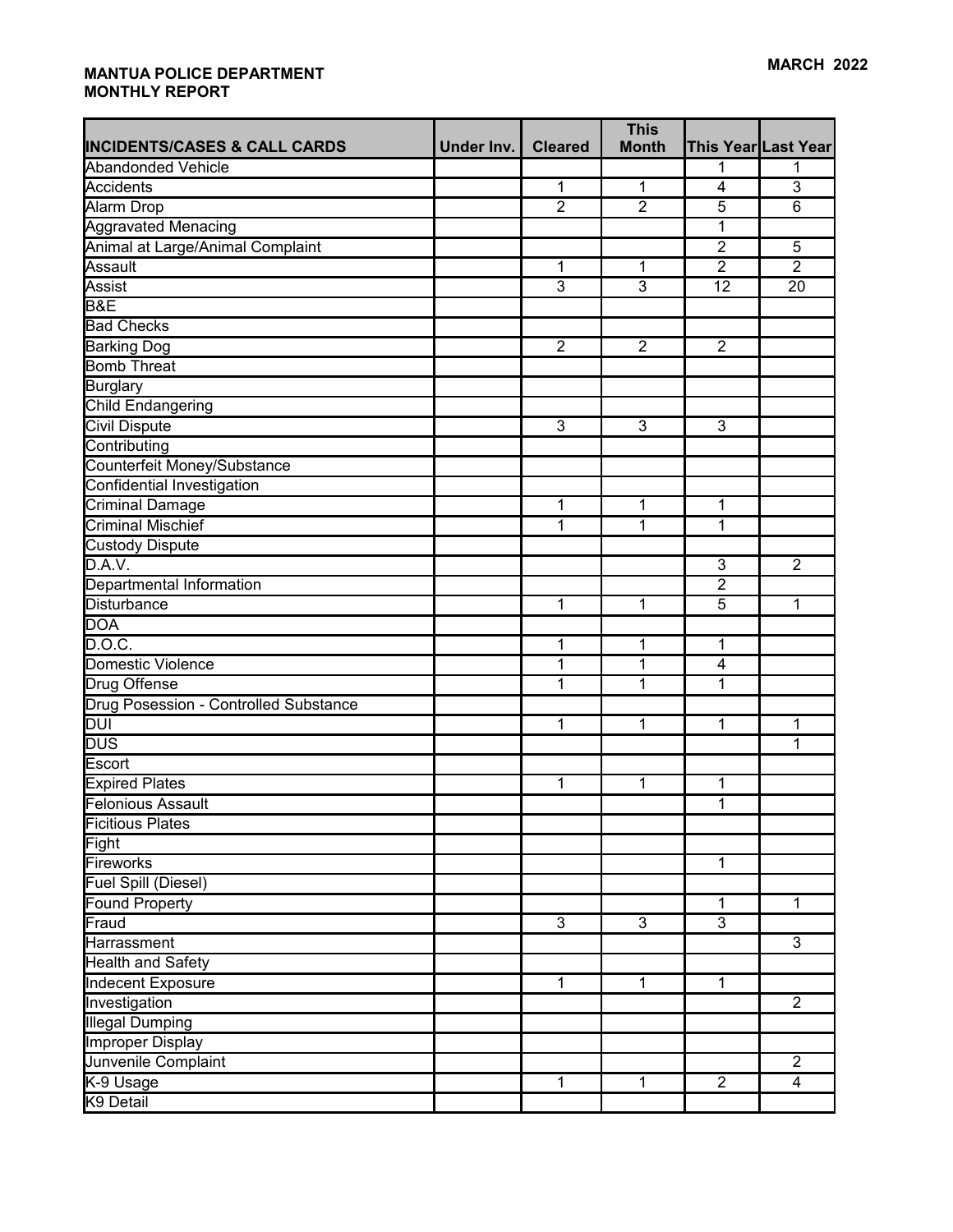|                                         |            |                | <b>This</b>    |                |                     |
|-----------------------------------------|------------|----------------|----------------|----------------|---------------------|
| <b>INCIDENTS/CASES &amp; CALL CARDS</b> | Under Inv. | <b>Cleared</b> | <b>Month</b>   |                | This Year Last Year |
| <b>Abandonded Vehicle</b>               |            |                |                | 1              | 1                   |
| <b>Accidents</b>                        |            | $\mathbf 1$    | $\mathbf 1$    | 4              | $\overline{3}$      |
| Alarm Drop                              |            | $\overline{2}$ | $\overline{2}$ | $\overline{5}$ | $\overline{6}$      |
| <b>Aggravated Menacing</b>              |            |                |                | 1              |                     |
| Animal at Large/Animal Complaint        |            |                |                | $\overline{2}$ | $\overline{5}$      |
| Assault                                 |            | $\overline{1}$ | 1              | $\overline{2}$ | $\overline{2}$      |
| Assist                                  |            | $\overline{3}$ | 3              | 12             | 20                  |
| B&E                                     |            |                |                |                |                     |
| <b>Bad Checks</b>                       |            |                |                |                |                     |
| <b>Barking Dog</b>                      |            | $\overline{2}$ | $\overline{2}$ | $\overline{2}$ |                     |
| <b>Bomb Threat</b>                      |            |                |                |                |                     |
| Burglary                                |            |                |                |                |                     |
| Child Endangering                       |            |                |                |                |                     |
| <b>Civil Dispute</b>                    |            | $\overline{3}$ | $\overline{3}$ | $\overline{3}$ |                     |
| Contributing                            |            |                |                |                |                     |
| Counterfeit Money/Substance             |            |                |                |                |                     |
| Confidential Investigation              |            |                |                |                |                     |
| <b>Criminal Damage</b>                  |            | $\mathbf 1$    | 1              | $\overline{1}$ |                     |
| <b>Criminal Mischief</b>                |            | 1              | 1              | 1              |                     |
| <b>Custody Dispute</b>                  |            |                |                |                |                     |
| D.A.V.                                  |            |                |                | 3              | $\overline{2}$      |
| Departmental Information                |            |                |                | $\overline{2}$ |                     |
| Disturbance                             |            | 1              | 1              | 5              | 1                   |
| <b>DOA</b>                              |            |                |                |                |                     |
| D.O.C.                                  |            | $\mathbf{1}$   | 1              | $\mathbf 1$    |                     |
| <b>Domestic Violence</b>                |            | $\overline{1}$ | $\overline{1}$ | $\overline{4}$ |                     |
| Drug Offense                            |            | 1              | 1              | 1              |                     |
| Drug Posession - Controlled Substance   |            |                |                |                |                     |
| <b>DUI</b>                              |            | $\mathbf{1}$   | 1              | 1              | 1                   |
| <b>DUS</b>                              |            |                |                |                | 1                   |
| Escort                                  |            |                |                |                |                     |
| <b>Expired Plates</b>                   |            | $\mathbf{1}$   | 1              | 1              |                     |
| <b>Felonious Assault</b>                |            |                |                | $\mathbf{1}$   |                     |
| [Ficitious Plates                       |            |                |                |                |                     |
| Fight                                   |            |                |                |                |                     |
| Fireworks                               |            |                |                | $\overline{1}$ |                     |
| <b>Fuel Spill (Diesel)</b>              |            |                |                |                |                     |
| <b>Found Property</b>                   |            |                |                | $\mathbf{1}$   | $\mathbf{1}$        |
| Fraud                                   |            | $\overline{3}$ | $\overline{3}$ | $\overline{3}$ |                     |
| Harrassment                             |            |                |                |                | 3                   |
| <b>Health and Safety</b>                |            |                |                |                |                     |
| Indecent Exposure                       |            | $\mathbf{1}$   | $\mathbf{1}$   | $\mathbf{1}$   |                     |
| Investigation                           |            |                |                |                | $\overline{2}$      |
| <b>Illegal Dumping</b>                  |            |                |                |                |                     |
| <b>Improper Display</b>                 |            |                |                |                |                     |
| Junvenile Complaint                     |            |                |                |                | $\overline{2}$      |
| K-9 Usage                               |            | $\mathbf{1}$   | $\overline{1}$ | $\overline{2}$ | $\overline{4}$      |
| K9 Detail                               |            |                |                |                |                     |
|                                         |            |                |                |                |                     |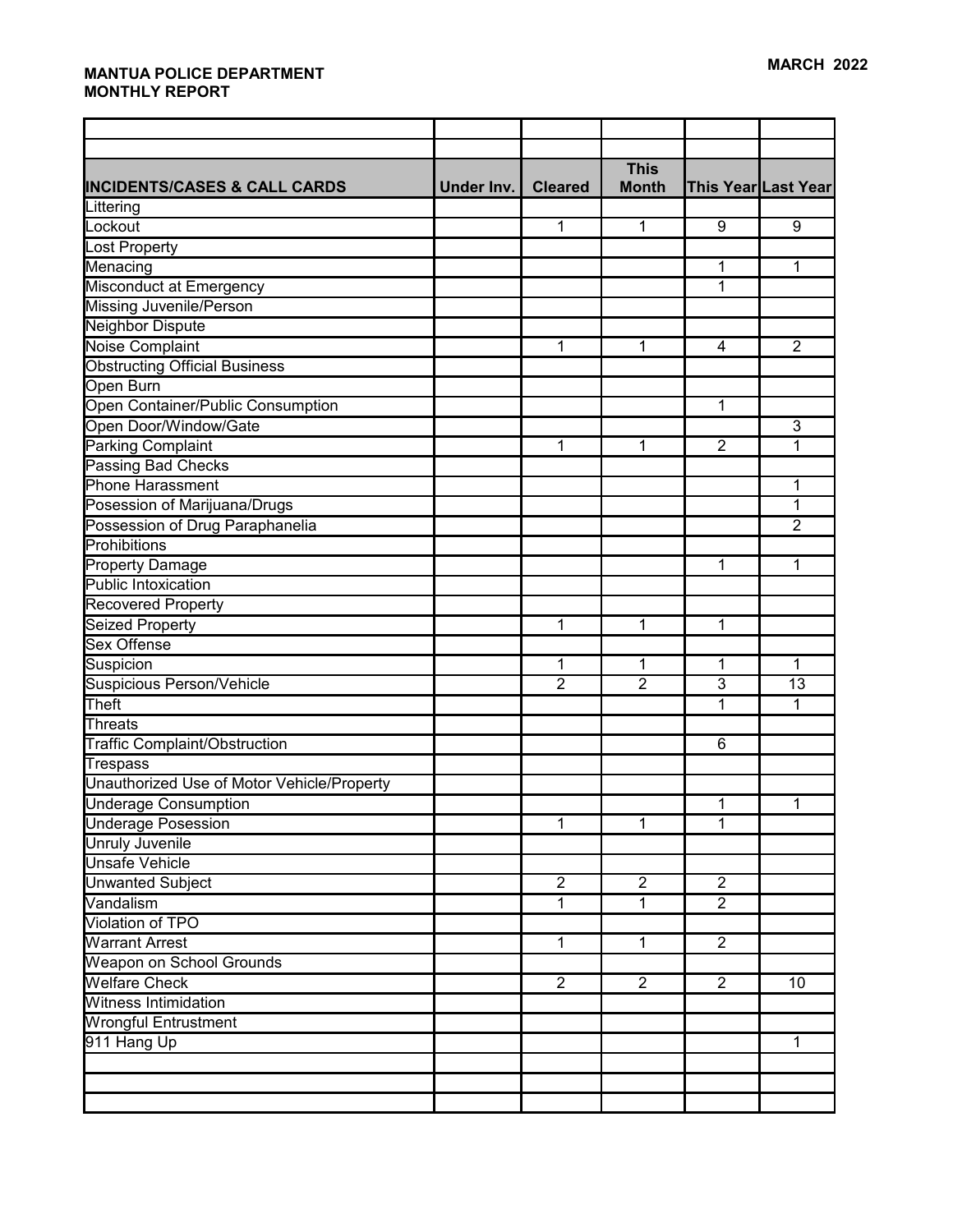|                                            |            |                | <b>This</b>    |                |                     |
|--------------------------------------------|------------|----------------|----------------|----------------|---------------------|
| <b>INCIDENTS/CASES &amp; CALL CARDS</b>    | Under Inv. | <b>Cleared</b> | <b>Month</b>   |                | This Year Last Year |
| Littering                                  |            |                |                |                |                     |
| Lockout                                    |            | 1              | 1              | 9              | 9                   |
| <b>Lost Property</b>                       |            |                |                |                |                     |
| Menacing                                   |            |                |                | 1              | 1                   |
| Misconduct at Emergency                    |            |                |                | 1              |                     |
| <b>Missing Juvenile/Person</b>             |            |                |                |                |                     |
| Neighbor Dispute                           |            |                |                |                |                     |
| Noise Complaint                            |            | 1              | 1              | 4              | $\overline{2}$      |
| <b>Obstructing Official Business</b>       |            |                |                |                |                     |
| Open Burn                                  |            |                |                |                |                     |
| Open Container/Public Consumption          |            |                |                | 1              |                     |
| Open Door/Window/Gate                      |            |                |                |                | $\overline{3}$      |
| <b>Parking Complaint</b>                   |            | $\mathbf 1$    | 1              | $\overline{2}$ | 1                   |
| <b>Passing Bad Checks</b>                  |            |                |                |                |                     |
| Phone Harassment                           |            |                |                |                | 1                   |
| Posession of Marijuana/Drugs               |            |                |                |                | 1                   |
| Possession of Drug Paraphanelia            |            |                |                |                | $\overline{2}$      |
| Prohibitions                               |            |                |                |                |                     |
| <b>Property Damage</b>                     |            |                |                | 1              | 1                   |
| Public Intoxication                        |            |                |                |                |                     |
| <b>Recovered Property</b>                  |            |                |                |                |                     |
| <b>Seized Property</b>                     |            | 1              | 1              | 1              |                     |
| <b>Sex Offense</b>                         |            |                |                |                |                     |
| Suspicion                                  |            | 1              | 1              | 1              | 1                   |
| <b>Suspicious Person/Vehicle</b>           |            | $\overline{2}$ | $\overline{2}$ | $\overline{3}$ | $\overline{13}$     |
| Theft                                      |            |                |                | 1              | 1                   |
| <b>Threats</b>                             |            |                |                |                |                     |
| Traffic Complaint/Obstruction              |            |                |                | 6              |                     |
| <b>Trespass</b>                            |            |                |                |                |                     |
| Unauthorized Use of Motor Vehicle/Property |            |                |                |                |                     |
| <b>Underage Consumption</b>                |            |                |                | 1              | 1                   |
| Underage Posession                         |            | 1              | 1              | 1              |                     |
| Unruly Juvenile                            |            |                |                |                |                     |
| <b>Unsafe Vehicle</b>                      |            |                |                |                |                     |
| <b>Unwanted Subject</b>                    |            | $\overline{2}$ | $\overline{2}$ | $\overline{2}$ |                     |
| Vandalism                                  |            | $\overline{1}$ | $\mathbf{1}$   | $\overline{2}$ |                     |
| Violation of TPO                           |            |                |                |                |                     |
| <b>Warrant Arrest</b>                      |            | $\mathbf{1}$   | $\mathbf{1}$   | $\overline{2}$ |                     |
| Weapon on School Grounds                   |            |                |                |                |                     |
| <b>Welfare Check</b>                       |            | $\overline{2}$ | $\overline{2}$ | $\overline{2}$ | 10                  |
| <b>Witness Intimidation</b>                |            |                |                |                |                     |
| <b>Wrongful Entrustment</b>                |            |                |                |                |                     |
| 911 Hang Up                                |            |                |                |                | $\mathbf{1}$        |
|                                            |            |                |                |                |                     |
|                                            |            |                |                |                |                     |
|                                            |            |                |                |                |                     |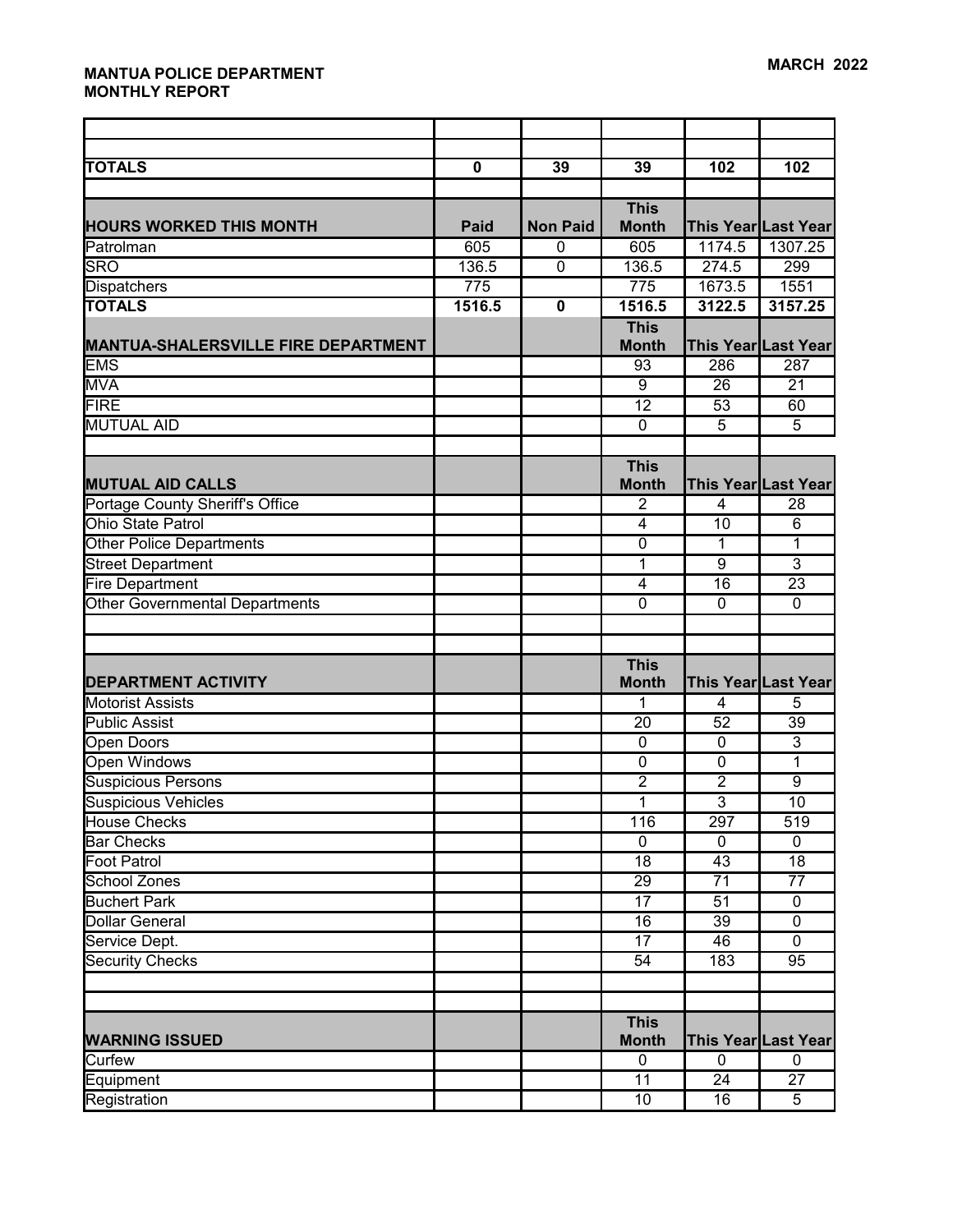| <b>TOTALS</b>                              | $\mathbf 0$ | 39              | 39                                | 102                            | 102                            |
|--------------------------------------------|-------------|-----------------|-----------------------------------|--------------------------------|--------------------------------|
|                                            |             |                 | <b>This</b>                       |                                |                                |
| <b>HOURS WORKED THIS MONTH</b>             | <b>Paid</b> | <b>Non Paid</b> | <b>Month</b>                      |                                | This Year Last Year            |
| Patrolman                                  | 605         | $\mathbf{0}$    | 605                               | 1174.5                         | 1307.25                        |
| <b>SRO</b>                                 | 136.5       | $\overline{0}$  | 136.5                             | 274.5                          | 299                            |
| <b>Dispatchers</b>                         | 775         |                 | 775                               | 1673.5                         | 1551                           |
| <b>TOTALS</b>                              | 1516.5      | $\mathbf 0$     | 1516.5                            | 3122.5                         | 3157.25                        |
|                                            |             |                 | <b>This</b>                       |                                |                                |
| <b>MANTUA-SHALERSVILLE FIRE DEPARTMENT</b> |             |                 | <b>Month</b>                      |                                | This Year Last Year            |
| <b>EMS</b>                                 |             |                 | 93                                | 286                            | 287                            |
| <b>MVA</b>                                 |             |                 | $\overline{9}$                    | 26                             | 21                             |
| <b>FIRE</b>                                |             |                 | 12                                | 53                             | 60                             |
| <b>MUTUAL AID</b>                          |             |                 | $\mathbf 0$                       | $\overline{5}$                 | $\overline{5}$                 |
|                                            |             |                 |                                   |                                |                                |
|                                            |             |                 | <b>This</b>                       |                                |                                |
| <b>MUTUAL AID CALLS</b>                    |             |                 | <b>Month</b>                      |                                | This Year Last Year            |
| Portage County Sheriff's Office            |             |                 | $\overline{2}$                    | 4                              | 28                             |
| <b>Ohio State Patrol</b>                   |             |                 | 4                                 | 10                             | 6                              |
| <b>Other Police Departments</b>            |             |                 | $\overline{0}$                    | $\mathbf{1}$                   | 1                              |
| <b>Street Department</b>                   |             |                 | 1                                 | 9                              | $\overline{3}$                 |
| <b>Fire Department</b>                     |             |                 | 4                                 | 16                             | 23                             |
| <b>Other Governmental Departments</b>      |             |                 | $\overline{0}$                    | $\overline{0}$                 | $\mathbf 0$                    |
|                                            |             |                 |                                   |                                |                                |
|                                            |             |                 |                                   |                                |                                |
|                                            |             |                 | <b>This</b>                       |                                |                                |
| <b>DEPARTMENT ACTIVITY</b>                 |             |                 | <b>Month</b>                      |                                | This Year Last Year            |
| <b>Motorist Assists</b>                    |             |                 | 1                                 | $\overline{\mathbf{4}}$        | 5                              |
| <b>Public Assist</b>                       |             |                 | 20                                | 52                             | 39                             |
| <b>Open Doors</b>                          |             |                 | $\mathbf 0$                       | $\mathbf 0$                    | $\overline{3}$                 |
| Open Windows                               |             |                 | $\mathbf 0$                       | $\mathbf 0$                    | 1                              |
| <b>Suspicious Persons</b>                  |             |                 | $\overline{2}$                    | $\overline{2}$                 | $\overline{9}$                 |
| <b>Suspicious Vehicles</b>                 |             |                 | 1                                 | $\overline{3}$                 | 10                             |
| House Checks                               |             |                 | 116                               | 297                            | 519                            |
| <b>Bar Checks</b><br><b>Foot Patrol</b>    |             |                 | $\overline{0}$<br>$\overline{18}$ | $\mathbf 0$<br>$\overline{43}$ | $\mathbf 0$<br>$\overline{18}$ |
| <b>School Zones</b>                        |             |                 | $\overline{29}$                   | $\overline{71}$                | $\overline{77}$                |
| <b>Buchert Park</b>                        |             |                 | 17                                | 51                             | $\mathbf 0$                    |
| <b>Dollar General</b>                      |             |                 | 16                                | 39                             | $\mathbf 0$                    |
| Service Dept.                              |             |                 | 17                                | 46                             | 0                              |
| <b>Security Checks</b>                     |             |                 | 54                                | 183                            | 95                             |
|                                            |             |                 |                                   |                                |                                |
|                                            |             |                 |                                   |                                |                                |
|                                            |             |                 | <b>This</b>                       |                                |                                |
| <b>WARNING ISSUED</b>                      |             |                 | <b>Month</b>                      |                                | This Year Last Year            |
| Curfew                                     |             |                 | 0                                 | $\overline{0}$                 | $\mathbf{0}$                   |
| Equipment                                  |             |                 | $\overline{11}$                   | $\overline{24}$                | 27                             |
| Registration                               |             |                 | 10                                | 16                             | 5                              |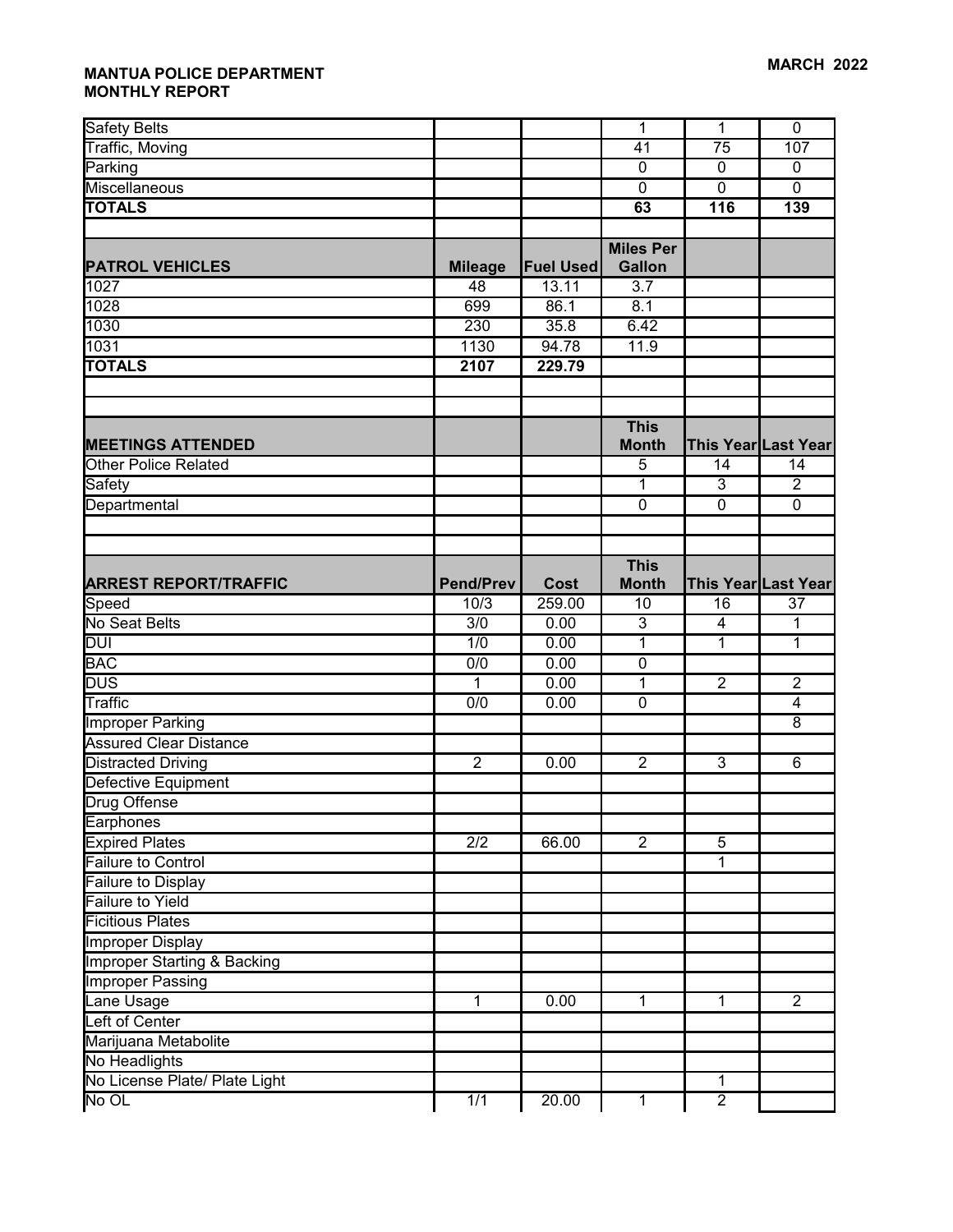| <b>Safety Belts</b>                    |                  |                  | 1                           | 1                       | $\mathbf 0$                            |
|----------------------------------------|------------------|------------------|-----------------------------|-------------------------|----------------------------------------|
| <b>Traffic, Moving</b>                 |                  |                  | 41                          | 75                      | 107                                    |
| Parking                                |                  |                  | $\mathbf 0$                 | 0                       | $\mathbf 0$                            |
| Miscellaneous                          |                  |                  | $\overline{0}$              | $\overline{0}$          | $\overline{0}$                         |
| <b>TOTALS</b>                          |                  |                  | 63                          | $\overline{116}$        | 139                                    |
|                                        |                  |                  |                             |                         |                                        |
|                                        |                  |                  | <b>Miles Per</b>            |                         |                                        |
| <b>PATROL VEHICLES</b>                 | <b>Mileage</b>   | <b>Fuel Used</b> | <b>Gallon</b>               |                         |                                        |
| 1027                                   | 48               | 13.11            | 3.7                         |                         |                                        |
| 1028                                   | 699              | 86.1             | 8.1                         |                         |                                        |
| 1030                                   | 230              | 35.8             | 6.42                        |                         |                                        |
| 1031                                   | 1130             | 94.78            | 11.9                        |                         |                                        |
| <b>TOTALS</b>                          | 2107             | 229.79           |                             |                         |                                        |
|                                        |                  |                  |                             |                         |                                        |
|                                        |                  |                  |                             |                         |                                        |
|                                        |                  |                  | <b>This</b>                 |                         |                                        |
| <b>MEETINGS ATTENDED</b>               |                  |                  | <b>Month</b>                |                         | This Year Last Year                    |
| <b>Other Police Related</b>            |                  |                  | 5                           | 14                      | 14                                     |
| Safety                                 |                  |                  | 1                           | 3                       | $\overline{2}$                         |
| Departmental                           |                  |                  | $\mathbf 0$                 | $\overline{0}$          | $\mathbf 0$                            |
|                                        |                  |                  |                             |                         |                                        |
|                                        |                  |                  |                             |                         |                                        |
| <b>ARREST REPORT/TRAFFIC</b>           | <b>Pend/Prev</b> | <b>Cost</b>      | <b>This</b><br><b>Month</b> |                         |                                        |
| Speed                                  | 10/3             | 259.00           | 10                          | 16                      | This Year Last Year<br>$\overline{37}$ |
| No Seat Belts                          | $\overline{3/0}$ | 0.00             | $\overline{3}$              | $\overline{\mathbf{4}}$ | $\mathbf 1$                            |
| DUI                                    | 1/0              | 0.00             | 1                           | 1                       | $\mathbf{1}$                           |
| <b>BAC</b>                             | $\overline{0/0}$ | 0.00             | $\overline{0}$              |                         |                                        |
| $\overline{DUS}$                       | $\mathbf{1}$     | 0.00             | 1                           | $\overline{2}$          | $\overline{2}$                         |
| Traffic                                | $\overline{0/0}$ | 0.00             | $\mathbf 0$                 |                         | $\overline{4}$                         |
| <b>Improper Parking</b>                |                  |                  |                             |                         | 8                                      |
| <b>Assured Clear Distance</b>          |                  |                  |                             |                         |                                        |
| Distracted Driving                     | $\overline{2}$   | 0.00             | $\overline{2}$              | $\mathbf{3}$            | 6                                      |
| Defective Equipment                    |                  |                  |                             |                         |                                        |
| Drug Offense                           |                  |                  |                             |                         |                                        |
| Earphones                              |                  |                  |                             |                         |                                        |
| <b>Expired Plates</b>                  | $\overline{2/2}$ | 66.00            | $\overline{2}$              | $\overline{5}$          |                                        |
| <b>Failure to Control</b>              |                  |                  |                             | 1                       |                                        |
| Failure to Display                     |                  |                  |                             |                         |                                        |
| <b>Failure to Yield</b>                |                  |                  |                             |                         |                                        |
| <b>Ficitious Plates</b>                |                  |                  |                             |                         |                                        |
| <b>Improper Display</b>                |                  |                  |                             |                         |                                        |
| <b>Improper Starting &amp; Backing</b> |                  |                  |                             |                         |                                        |
| <b>Improper Passing</b>                |                  |                  |                             |                         |                                        |
| Lane Usage                             | $\mathbf{1}$     | 0.00             | $\mathbf{1}$                | $\mathbf{1}$            | $\overline{2}$                         |
| Left of Center                         |                  |                  |                             |                         |                                        |
| Marijuana Metabolite                   |                  |                  |                             |                         |                                        |
| No Headlights                          |                  |                  |                             |                         |                                        |
| No License Plate/ Plate Light          |                  |                  |                             | 1                       |                                        |
| No OL                                  | 1/1              | 20.00            | $\mathbf{1}$                | $\overline{2}$          |                                        |
|                                        |                  |                  |                             |                         |                                        |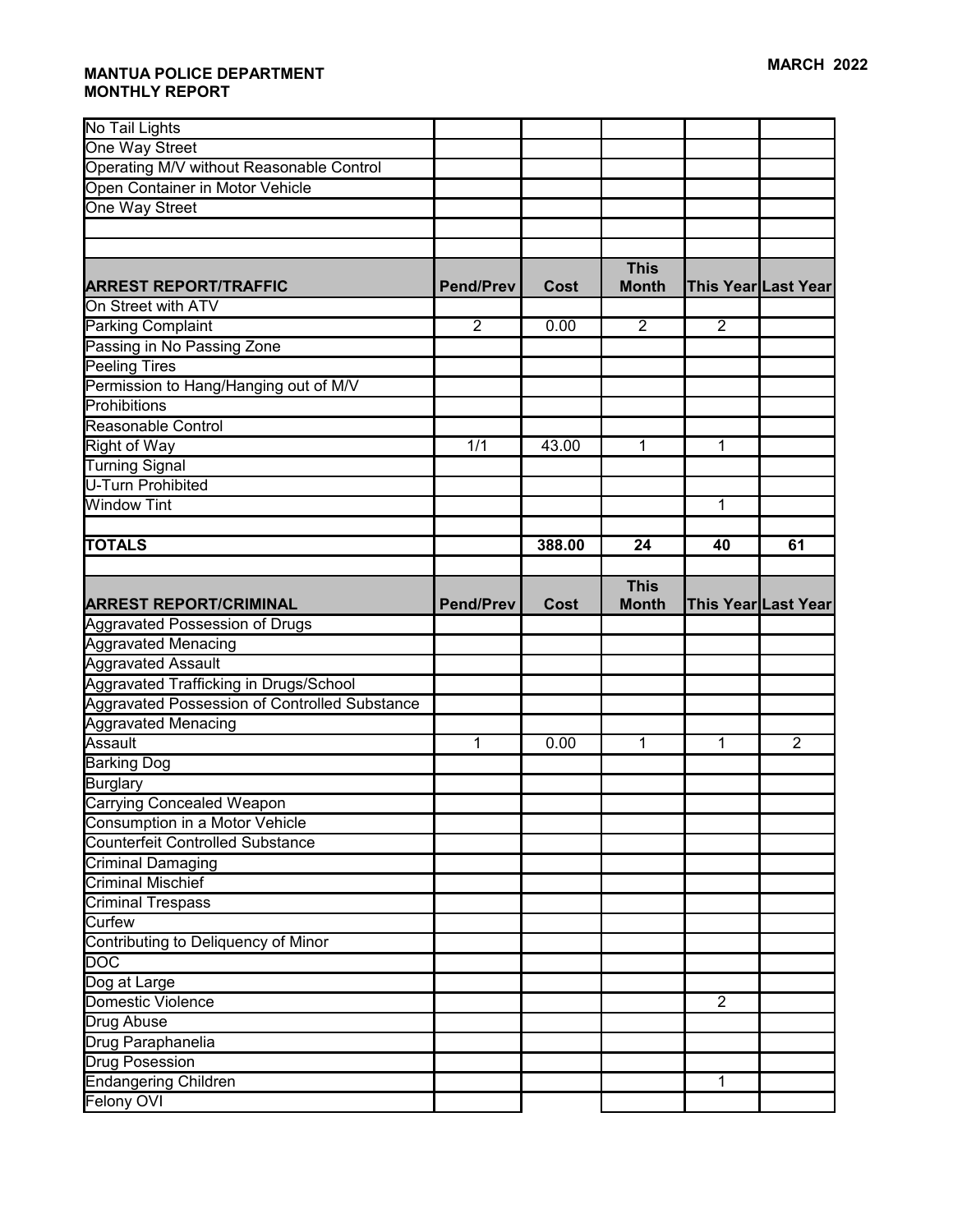| No Tail Lights                                |                  |             |              |                |                     |
|-----------------------------------------------|------------------|-------------|--------------|----------------|---------------------|
| One Way Street                                |                  |             |              |                |                     |
| Operating M/V without Reasonable Control      |                  |             |              |                |                     |
| Open Container in Motor Vehicle               |                  |             |              |                |                     |
| One Way Street                                |                  |             |              |                |                     |
|                                               |                  |             |              |                |                     |
|                                               |                  |             |              |                |                     |
|                                               |                  |             | <b>This</b>  |                |                     |
| <b>ARREST REPORT/TRAFFIC</b>                  | <b>Pend/Prev</b> | <b>Cost</b> | <b>Month</b> |                | This Year Last Year |
| On Street with ATV                            |                  |             |              |                |                     |
| <b>Parking Complaint</b>                      | $\overline{2}$   | 0.00        | 2            | $\overline{2}$ |                     |
| Passing in No Passing Zone                    |                  |             |              |                |                     |
| Peeling Tires                                 |                  |             |              |                |                     |
| Permission to Hang/Hanging out of M/V         |                  |             |              |                |                     |
| Prohibitions                                  |                  |             |              |                |                     |
| Reasonable Control                            |                  |             |              |                |                     |
| <b>Right of Way</b>                           | 1/1              | 43.00       | 1            | 1              |                     |
| <b>Turning Signal</b>                         |                  |             |              |                |                     |
| <b>U-Turn Prohibited</b>                      |                  |             |              |                |                     |
| <b>Window Tint</b>                            |                  |             |              | 1              |                     |
|                                               |                  |             |              |                |                     |
| <b>TOTALS</b>                                 |                  | 388.00      | 24           | 40             | 61                  |
|                                               |                  |             |              |                |                     |
|                                               |                  |             | <b>This</b>  |                |                     |
| <b>ARREST REPORT/CRIMINAL</b>                 | <b>Pend/Prev</b> | <b>Cost</b> | <b>Month</b> |                | This Year Last Year |
|                                               |                  |             |              |                |                     |
| <b>Aggravated Possession of Drugs</b>         |                  |             |              |                |                     |
| <b>Aggravated Menacing</b>                    |                  |             |              |                |                     |
| <b>Aggravated Assault</b>                     |                  |             |              |                |                     |
| Aggravated Trafficking in Drugs/School        |                  |             |              |                |                     |
| Aggravated Possession of Controlled Substance |                  |             |              |                |                     |
| <b>Aggravated Menacing</b>                    |                  |             |              |                |                     |
| Assault                                       | 1                | 0.00        | 1            | 1              | $\overline{2}$      |
| <b>Barking Dog</b>                            |                  |             |              |                |                     |
| <b>Burglary</b>                               |                  |             |              |                |                     |
| <b>Carrying Concealed Weapon</b>              |                  |             |              |                |                     |
| Consumption in a Motor Vehicle                |                  |             |              |                |                     |
| <b>Counterfeit Controlled Substance</b>       |                  |             |              |                |                     |
| Criminal Damaging                             |                  |             |              |                |                     |
| <b>Criminal Mischief</b>                      |                  |             |              |                |                     |
| Criminal Trespass                             |                  |             |              |                |                     |
| Curfew                                        |                  |             |              |                |                     |
| Contributing to Deliquency of Minor           |                  |             |              |                |                     |
| <b>DOC</b>                                    |                  |             |              |                |                     |
| Dog at Large                                  |                  |             |              |                |                     |
| Domestic Violence                             |                  |             |              | $\overline{2}$ |                     |
| Drug Abuse                                    |                  |             |              |                |                     |
| Drug Paraphanelia                             |                  |             |              |                |                     |
| Drug Posession                                |                  |             |              |                |                     |
| <b>Endangering Children</b>                   |                  |             |              | 1              |                     |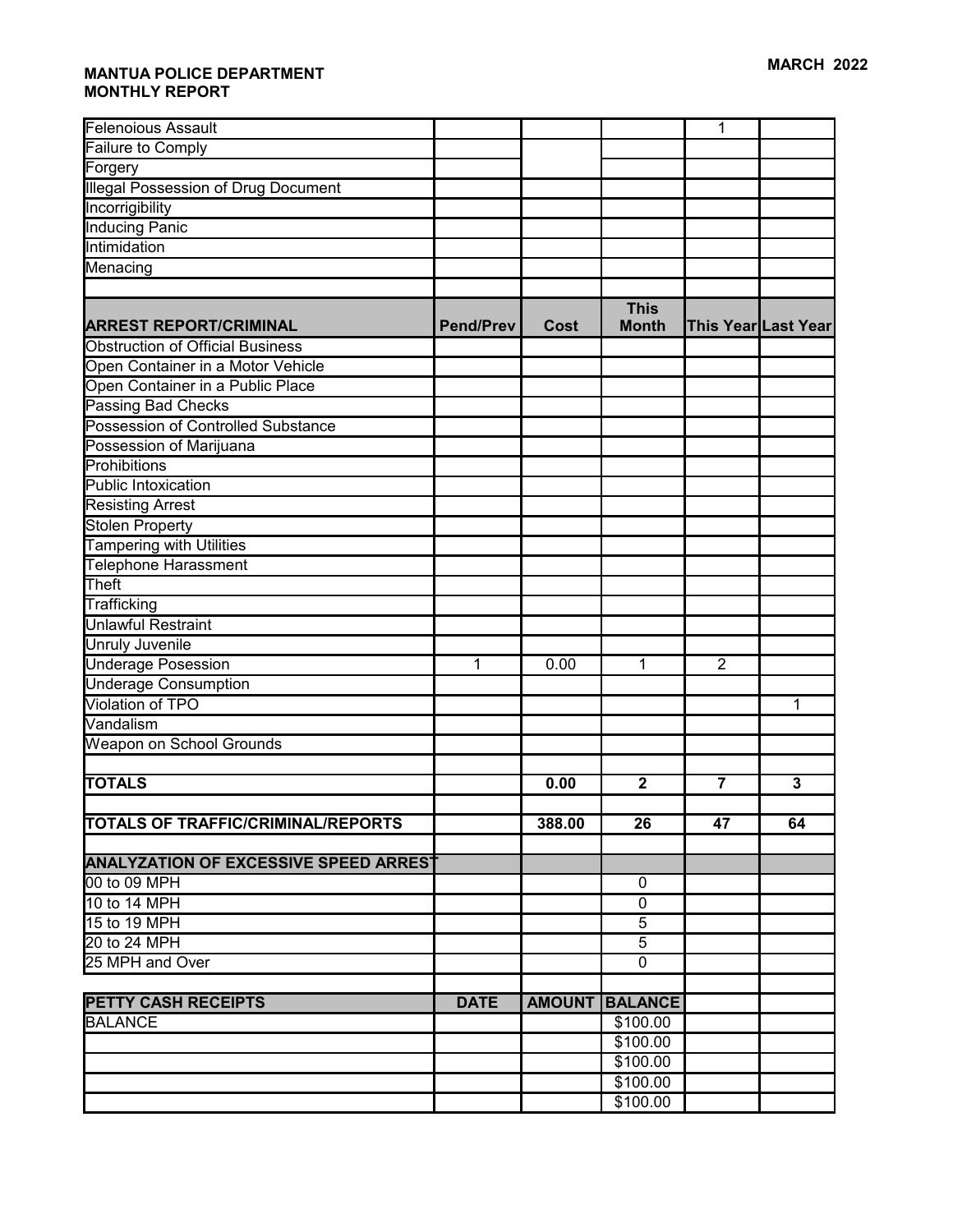| Felenoious Assault                           |                  |               |                             | 1              |                     |
|----------------------------------------------|------------------|---------------|-----------------------------|----------------|---------------------|
| Failure to Comply                            |                  |               |                             |                |                     |
| Forgery                                      |                  |               |                             |                |                     |
| <b>Illegal Possession of Drug Document</b>   |                  |               |                             |                |                     |
| Incorrigibility                              |                  |               |                             |                |                     |
| <b>Inducing Panic</b>                        |                  |               |                             |                |                     |
| Intimidation                                 |                  |               |                             |                |                     |
| Menacing                                     |                  |               |                             |                |                     |
|                                              |                  |               |                             |                |                     |
| <b>ARREST REPORT/CRIMINAL</b>                | <b>Pend/Prev</b> | <b>Cost</b>   | <b>This</b><br><b>Month</b> |                | This Year Last Year |
| <b>Obstruction of Official Business</b>      |                  |               |                             |                |                     |
| Open Container in a Motor Vehicle            |                  |               |                             |                |                     |
| Open Container in a Public Place             |                  |               |                             |                |                     |
| Passing Bad Checks                           |                  |               |                             |                |                     |
| <b>Possession of Controlled Substance</b>    |                  |               |                             |                |                     |
| Possession of Marijuana                      |                  |               |                             |                |                     |
| Prohibitions                                 |                  |               |                             |                |                     |
| Public Intoxication                          |                  |               |                             |                |                     |
| <b>Resisting Arrest</b>                      |                  |               |                             |                |                     |
| <b>Stolen Property</b>                       |                  |               |                             |                |                     |
| <b>Tampering with Utilities</b>              |                  |               |                             |                |                     |
| Telephone Harassment                         |                  |               |                             |                |                     |
| <b>Theft</b>                                 |                  |               |                             |                |                     |
| Trafficking                                  |                  |               |                             |                |                     |
| Unlawful Restraint                           |                  |               |                             |                |                     |
| <b>Unruly Juvenile</b>                       |                  |               |                             |                |                     |
| <b>Underage Posession</b>                    | 1                | 0.00          | 1                           | $\overline{2}$ |                     |
| <b>Underage Consumption</b>                  |                  |               |                             |                |                     |
| Violation of TPO                             |                  |               |                             |                | 1                   |
| Vandalism                                    |                  |               |                             |                |                     |
| Weapon on School Grounds                     |                  |               |                             |                |                     |
|                                              |                  |               |                             |                |                     |
| <b>TOTALS</b>                                |                  | 0.00          | $\mathbf 2$                 | $\overline{7}$ | 3                   |
|                                              |                  |               |                             |                |                     |
| <b>TOTALS OF TRAFFIC/CRIMINAL/REPORTS</b>    |                  | 388.00        | 26                          | 47             | 64                  |
|                                              |                  |               |                             |                |                     |
| <b>ANALYZATION OF EXCESSIVE SPEED ARREST</b> |                  |               |                             |                |                     |
| 00 to 09 MPH                                 |                  |               | 0                           |                |                     |
| 10 to 14 MPH                                 |                  |               | $\mathbf 0$                 |                |                     |
| 15 to 19 MPH                                 |                  |               | $\overline{5}$              |                |                     |
| 20 to 24 MPH                                 |                  |               | 5                           |                |                     |
| 25 MPH and Over                              |                  |               | $\mathbf 0$                 |                |                     |
| <b>PETTY CASH RECEIPTS</b>                   | <b>DATE</b>      | <b>AMOUNT</b> | <b>BALANCE</b>              |                |                     |
| <b>BALANCE</b>                               |                  |               | \$100.00                    |                |                     |
|                                              |                  |               | \$100.00                    |                |                     |
|                                              |                  |               | \$100.00                    |                |                     |
|                                              |                  |               | \$100.00                    |                |                     |
|                                              |                  |               | \$100.00                    |                |                     |
|                                              |                  |               |                             |                |                     |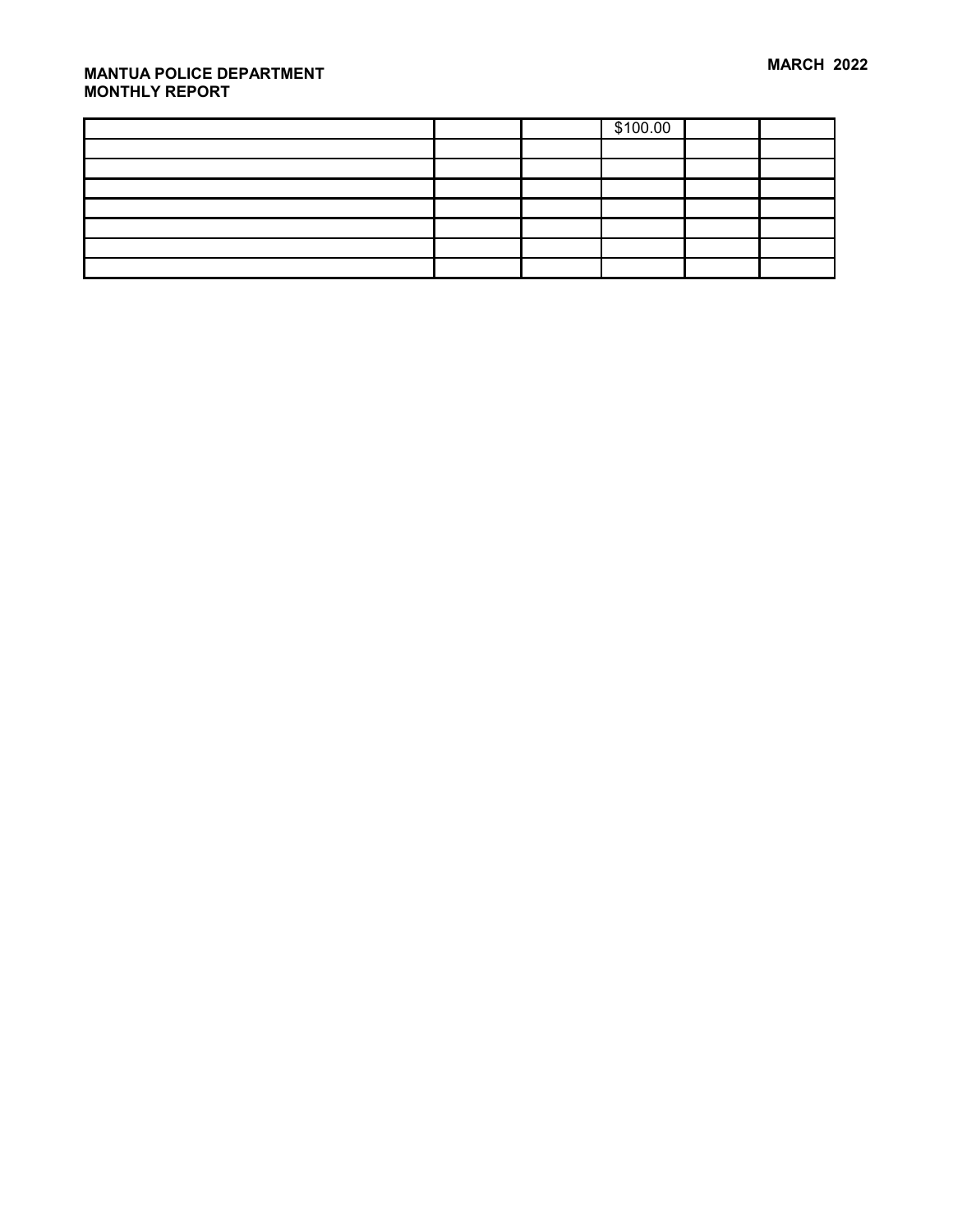|  | \$100.00 |  |
|--|----------|--|
|  |          |  |
|  |          |  |
|  |          |  |
|  |          |  |
|  |          |  |
|  |          |  |
|  |          |  |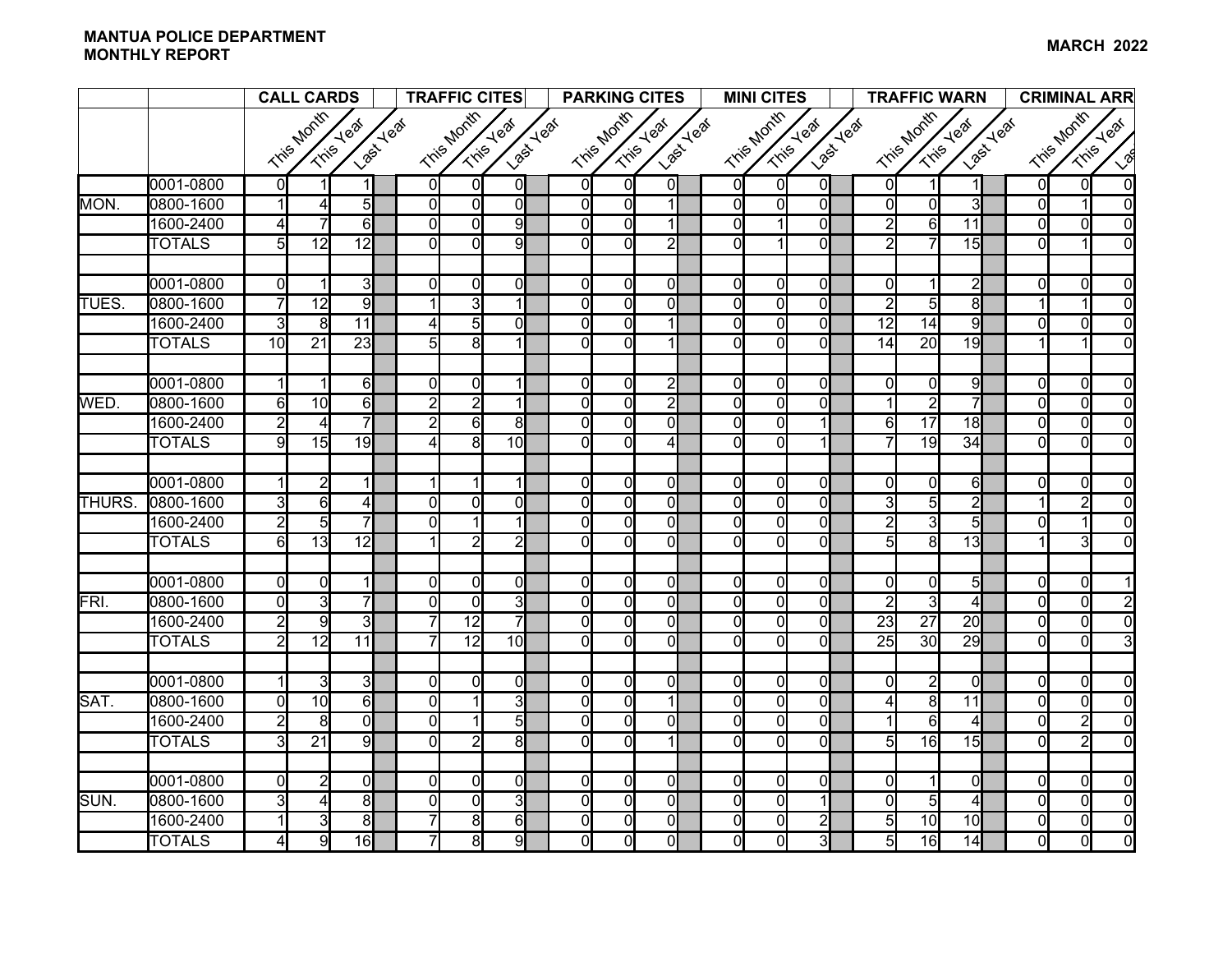#### **MANTUA POLICE DEPARTMENT MONTHLY REPORT**<u>TERN ANTWENTER CONSIDERED AND THE SERVICE OF THE SERVICE OF THE MARCH 2022</u>

|              |               | <b>CALL CARDS</b> |                 |                         | <b>TRAFFIC CITES</b> |                 |                               |  | <b>PARKING CITES</b> |                |                        |  | <b>MINI CITES</b> |                |                                      | <b>TRAFFIC WARN</b> |                 |                 |                         | <b>CRIMINAL ARR</b> |                |                |                  |
|--------------|---------------|-------------------|-----------------|-------------------------|----------------------|-----------------|-------------------------------|--|----------------------|----------------|------------------------|--|-------------------|----------------|--------------------------------------|---------------------|-----------------|-----------------|-------------------------|---------------------|----------------|----------------|------------------|
|              |               |                   | Tris Month      | Last Yeaf<br>Tris Year  |                      | Tris Month      | <b>Last Yeal</b><br>Tris Year |  |                      | Tris Month     | Last Yeaf<br>Tris Year |  | Tris Month        |                | <b>Last Yeat</b><br><b>Tris Yeaf</b> |                     |                 | Tris Month      | Tris Year<br>Last Year  |                     |                | Tris Month     | <b>Tris Yeal</b> |
|              |               |                   |                 |                         |                      |                 |                               |  |                      |                |                        |  |                   |                |                                      |                     |                 |                 |                         |                     |                |                | $\sqrt{2}$       |
|              | 0001-0800     | $\overline{0}$    |                 |                         | <sup>0</sup>         | $\Omega$        | $\Omega$                      |  | $\overline{0}$       | $\overline{0}$ | 0                      |  | 0l                | $\overline{0}$ | $\overline{0}$                       |                     | $\Omega$        | 1               | 1                       |                     | $\overline{0}$ | $\Omega$       | $\Omega$         |
| MON.         | 0800-1600     | $\mathbf{1}$      | 4               | $\overline{5}$          | $\Omega$             | $\Omega$        | $\Omega$                      |  | $\overline{0}$       | $\overline{0}$ | $\mathbf 1$            |  | $\overline{0}$    | $\Omega$       | $\overline{0}$                       |                     | $\Omega$        | $\overline{0}$  | 3                       |                     | $\Omega$       | 1              | $\Omega$         |
|              | 1600-2400     | 4                 |                 | 6                       | $\Omega$             | ΩI              | 9                             |  | 0                    | $\overline{0}$ | 1                      |  | $\overline{0}$    |                | $\Omega$                             |                     | 2               | $6 \mid$        | 11                      |                     | $\Omega$       | $\Omega$       | $\Omega$         |
|              | <b>TOTALS</b> | $\overline{5}$    | 12              | 12                      | <sup>0</sup>         | ΩI              | 9                             |  | $\Omega$             | $\overline{0}$ | $\overline{2}$         |  | $\Omega$          |                | $\overline{0}$                       |                     | 2               | 7               | 15                      |                     | $\Omega$       |                | $\Omega$         |
|              |               |                   |                 |                         |                      |                 |                               |  |                      |                |                        |  |                   |                |                                      |                     |                 |                 |                         |                     |                |                |                  |
|              | 0001-0800     | $\mathbf{0}$      |                 | $\overline{3}$          | $\Omega$             | $\Omega$        | $\Omega$                      |  | $\overline{0}$       | $\overline{0}$ | $\overline{0}$         |  | $\mathbf{0}$      | $\Omega$       | $\mathbf{0}$                         |                     | $\Omega$        | 1               | $\overline{2}$          |                     | $\overline{0}$ | $\overline{0}$ | $\Omega$         |
| TUES.        | 0800-1600     | $\overline{7}$    | $\overline{12}$ | 9                       |                      | $\overline{3}$  |                               |  | $\overline{0}$       | $\overline{0}$ | $\overline{0}$         |  | $\overline{0}$    | $\Omega$       | $\overline{0}$                       |                     | 2               | 5               | $\overline{\mathbf{e}}$ |                     |                |                | $\Omega$         |
|              | 1600-2400     | 3                 | 8               | 11                      | 4                    | 5 <sub>l</sub>  | $\Omega$                      |  | 0                    | $\overline{0}$ | $\mathbf 1$            |  | $\overline{0}$    | $\Omega$       | $\overline{0}$                       |                     | $\overline{12}$ | $\overline{14}$ | 9                       |                     | $\Omega$       | $\overline{0}$ | $\overline{0}$   |
|              | <b>TOTALS</b> | 10                | $\overline{21}$ | $\overline{23}$         | 5                    | $\overline{8}$  |                               |  | $\overline{0}$       | $\overline{0}$ | 1                      |  | $\overline{0}$    | $\Omega$       | $\overline{0}$                       |                     | $\overline{14}$ | $\overline{20}$ | 19                      |                     |                |                | $\Omega$         |
|              |               |                   |                 |                         |                      |                 |                               |  |                      |                |                        |  |                   |                |                                      |                     |                 |                 |                         |                     |                |                |                  |
|              | 0001-0800     | $\mathbf{1}$      |                 | 6                       | $\overline{0}$       | $\overline{0}$  |                               |  | $\overline{0}$       | $\overline{0}$ | $\overline{2}$         |  | $\mathbf{0}$      | $\overline{0}$ | $\overline{0}$                       |                     | $\Omega$        | $\overline{0}$  | 9                       |                     | $\overline{0}$ | $\overline{0}$ | $\Omega$         |
| WED.         | 0800-1600     | $\overline{6}$    | 10              | $\overline{6}$          | $\overline{2}$       | $\overline{2}$  |                               |  | $\Omega$             | $\overline{0}$ | $\overline{2}$         |  | $\overline{0}$    | $\Omega$       | $\Omega$                             |                     |                 | $\overline{2}$  | 7                       |                     | $\Omega$       | $\Omega$       | $\Omega$         |
|              | 1600-2400     | $\overline{2}$    | 4               | $\overline{7}$          | $\overline{2}$       | $6 \mid$        | 8                             |  | $\overline{0}$       | $\overline{0}$ | $\overline{0}$         |  | $\mathbf{0}$      | $\Omega$       | $\mathbf{1}$                         |                     | 6               | $\overline{17}$ | 18                      |                     | $\Omega$       | $\Omega$       | $\overline{0}$   |
|              | <b>TOTALS</b> | $\overline{9}$    | 15              | 19                      | Δ                    | 8 <sup>1</sup>  | 10 <sup>1</sup>               |  | $\Omega$             | $\overline{0}$ | $\overline{4}$         |  | Οl                | $\Omega$       | $\vert$                              |                     | 7               | 19              | 34                      |                     | $\Omega$       | $\Omega$       | $\Omega$         |
|              |               |                   |                 |                         |                      |                 |                               |  |                      |                |                        |  |                   |                |                                      |                     |                 |                 |                         |                     |                |                |                  |
|              | 0001-0800     | $\mathbf{1}$      | $\overline{2}$  | $\mathbf{1}$            |                      |                 | 11                            |  | $\overline{0}$       | $\overline{0}$ | $\overline{0}$         |  | $\mathsf{O}$      | $\Omega$       | $\mathbf{0}$                         |                     | $\Omega$        | $\overline{0}$  | 6                       |                     | $\Omega$       | $\Omega$       | $\Omega$         |
| <b>THURS</b> | 0800-1600     | 3                 | 6               | $\overline{4}$          | $\Omega$             | ΩI              | $\Omega$                      |  | $\overline{0}$       | $\overline{0}$ | $\overline{0}$         |  | $\overline{0}$    | $\Omega$       | $\overline{0}$                       |                     | 3               | $\overline{5}$  | $\overline{2}$          |                     |                | $\overline{2}$ | $\overline{0}$   |
|              | 1600-2400     | $\overline{2}$    | $\overline{5}$  | $\overline{7}$          | $\Omega$             |                 |                               |  | 0                    | $\overline{0}$ | $\overline{0}$         |  | $\overline{0}$    | $\Omega$       | $\overline{0}$                       |                     | $\overline{2}$  | 3               | 5                       |                     | $\Omega$       |                | $\overline{0}$   |
|              | <b>TOTALS</b> | $\overline{6}$    | $\overline{13}$ | $\overline{12}$         |                      | $\overline{2}$  | $\overline{2}$                |  | 0                    | $\overline{0}$ | $\overline{0}$         |  | $\overline{0}$    | $\Omega$       | $\overline{0}$                       |                     | 5               | $\overline{8}$  | $\overline{13}$         |                     |                | $\overline{3}$ | $\Omega$         |
|              | 0001-0800     | $\mathbf{0}$      | $\overline{0}$  |                         | $\Omega$             | $\Omega$        | $\mathbf{0}$                  |  | 0                    | $\overline{0}$ | $\overline{0}$         |  | $\mathbf{0}$      | $\Omega$       | $\overline{0}$                       |                     | $\Omega$        | $\overline{0}$  | $5\overline{)}$         |                     | $\mathbf{0}$   | $\Omega$       |                  |
| FRI.         | 0800-1600     | $\overline{0}$    | $\overline{3}$  | $\overline{7}$          | $\Omega$             | $\Omega$        | $\overline{3}$                |  | 0                    | $\overline{0}$ | $\overline{0}$         |  | $\overline{0}$    | $\Omega$       | $\overline{0}$                       |                     | 2               | $\overline{3}$  | 4                       |                     | $\Omega$       | $\overline{0}$ |                  |
|              | 1600-2400     | $\overline{2}$    | 9               | $\overline{\mathsf{3}}$ |                      | $\overline{12}$ |                               |  | 0                    | $\overline{0}$ | $\overline{0}$         |  | $\overline{0}$    | $\Omega$       | $\overline{0}$                       |                     | 23              | $\overline{27}$ | $\overline{20}$         |                     | $\Omega$       | $\Omega$       | $\Omega$         |
|              | <b>TOTALS</b> | $\overline{2}$    | $\overline{12}$ | $\overline{11}$         |                      | $\overline{12}$ | 10                            |  | $\Omega$             | $\overline{0}$ | $\overline{0}$         |  | Οl                | $\Omega$       | $\overline{0}$                       |                     | $\overline{25}$ | $\overline{30}$ | 29                      |                     | $\Omega$       | $\Omega$       |                  |
|              |               |                   |                 |                         |                      |                 |                               |  |                      |                |                        |  |                   |                |                                      |                     |                 |                 |                         |                     |                |                |                  |
|              | 0001-0800     | $\mathbf{1}$      | $\overline{3}$  | $\overline{\mathbf{3}}$ | $\Omega$             | $\Omega$        | $\Omega$                      |  | $\Omega$             | $\overline{0}$ | $\overline{0}$         |  | 0l                | $\Omega$       | $\mathbf{0}$                         |                     | $\Omega$        | $\mathbf{2}$    | $\Omega$                |                     | $\Omega$       | $\Omega$       | $\Omega$         |
| SAT.         | 0800-1600     | $\mathbf{0}$      | 10              | 6                       | $\Omega$             |                 | $\overline{3}$                |  | $\overline{0}$       | $\overline{0}$ | 1                      |  | $\overline{0}$    | $\Omega$       | $\overline{0}$                       |                     | 4               | 8               | 11                      |                     | $\Omega$       | $\Omega$       | $\Omega$         |
|              | 1600-2400     | $\overline{2}$    | 8               | $\overline{0}$          | $\Omega$             |                 | $\overline{5}$                |  | $\overline{0}$       | $\overline{0}$ | $\overline{0}$         |  | $\overline{0}$    | $\Omega$       | $\overline{0}$                       |                     |                 | $6\overline{6}$ | 4                       |                     | $\overline{0}$ | $\overline{2}$ | $\Omega$         |
|              | <b>TOTALS</b> | ω                 | $\overline{21}$ | $\overline{9}$          | $\Omega$             | $\overline{2}$  | 8                             |  | 0                    | $\overline{0}$ | $\mathbf{1}$           |  | $\overline{0}$    | $\Omega$       | $\overline{0}$                       |                     | 5               | 16              | 15                      |                     | $\Omega$       | $\overline{2}$ | $\Omega$         |
|              |               |                   |                 |                         |                      |                 |                               |  |                      |                |                        |  |                   |                |                                      |                     |                 |                 |                         |                     |                |                |                  |
|              | 0001-0800     | $\mathbf{0}$      | $\overline{2}$  | $\overline{0}$          | $\overline{0}$       | 0l              | $\mathbf{0}$                  |  | $\overline{0}$       | $\overline{0}$ | $\overline{0}$         |  | $\overline{0}$    | $\Omega$       | $\overline{0}$                       |                     | 0               |                 | $\overline{0}$          |                     | $\Omega$       | $\overline{0}$ | $\Omega$         |
| SUN.         | 0800-1600     | 3                 | 4               | $\overline{\mathbf{8}}$ | $\overline{0}$       | $\Omega$        | $\overline{3}$                |  | $\overline{0}$       | $\overline{0}$ | $\overline{0}$         |  | $\overline{0}$    | $\Omega$       | $\vert$                              |                     | $\Omega$        | $\overline{5}$  | 4                       |                     | $\overline{0}$ | $\overline{0}$ | $\Omega$         |
|              | 1600-2400     |                   | $\overline{3}$  | $\overline{8}$          |                      | $\overline{8}$  | 6                             |  | 0                    | $\overline{0}$ | $\overline{0}$         |  | $\mathbf{0}$      | $\Omega$       | $\overline{2}$                       |                     | $5\overline{)}$ | 10              | 10                      |                     | $\overline{0}$ | $\overline{0}$ | $\overline{0}$   |
|              | <b>TOTALS</b> | $\overline{4}$    | 9               | 16                      | 7                    | $\overline{8}$  | 9                             |  | $\overline{0}$       | $\overline{0}$ | $\overline{0}$         |  | ΩI                | 0l             | $\overline{\mathsf{3}}$              |                     | $\overline{5}$  | 16              | 14                      |                     | $\Omega$       | $\overline{0}$ | $\overline{0}$   |